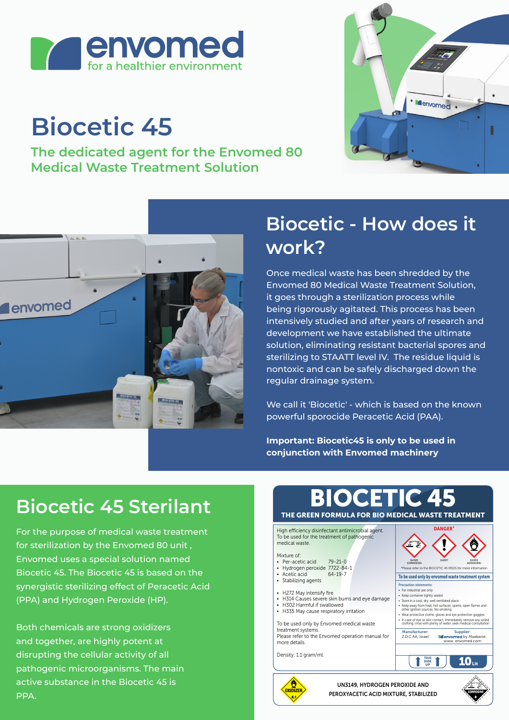

# **Biocetic 45**

**The dedicated agent for the Envomed 80 Medical Waste Treatment Solution**





### **Biocetic - How does it work?**

Once medical waste has been shredded by the Envomed 80 Medical Waste Treatment Solution, it goes through a sterilization process while being rigorously agitated. This process has been intensively studied and after years of research and development we have established the ultimate solution, eliminating resistant bacterial spores and sterilizing to STAATT level IV. The residue liquid is nontoxic and can be safely discharged down the regular drainage system.

We call it 'Biocetic' - which is based on the known powerful sporocide Peracetic Acid (PAA).

**Important: Biocetic45 is only to be used in conjunction with Envomed machinery** 

## **Biocetic 45 Sterilant**

For the purpose of medical waste treatment for sterilization by the Envomed 80 unit , Envomed uses a special solution named Biocetic 45. The Biocetic 45 is based on the synergistic sterilizing effect of Peracetic Acid (PPA) and Hydrogen Peroxide (HP).

Both chemicals are strong oxidizers and together, are highly potent at disrupting the cellular activity of all pathogenic microorganisms. The main active substance in the Biocetic 45 is PPA.

#### THE GREEN FORMULA FOR BIO MEDICAL WASTE TREATMENT DCETIC 45 GHS05 GHS07 **CORROSION** AOXIDIZING To be used only by envomed waste treatment system Precaution statements: • For industrial use only • Keep container tightly sealed • Store in a cool, dry, well ventilated place • Keep away from heat, hot surfaces, sparks, open flames and other ignition sources. No smoking • Wear protective clothe, gloves and eye protection goggles • In case of eye or skin contact, Immediately remove any soiled clothing, rinse with plenty of water, seek medical consultation  $10<sub>ii</sub>$ THIS SIDE UP **PLOCETIC AF MS** High efficiency disinfectant antimicrobial agent. To be used for the treatment of pathogen medical waste. Mixture of: • Per-acetic acid 79-21-0 • Hydrogen peroxide 7722-84-1 Acetic acid 64-19-7 • Stabilizing agents H272 May intensify fire • H314 Causes severe skin burns and eve damage • H302 Harmful if swallowed • H335 May cause respiratory irritation To be used only by Envomed medical waste treatment systems. Please refer to the Envomed operation manual for more details. Density: 1.1 gram/ml. Supplier:<br>med by Maabarot www. envomed.com Manufacturer: Z.D.C.AA, Israel



UN3149, HYDROGEN PEROXIDE AND PEROXYACETIC ACID MIXTURE, STABILIZED